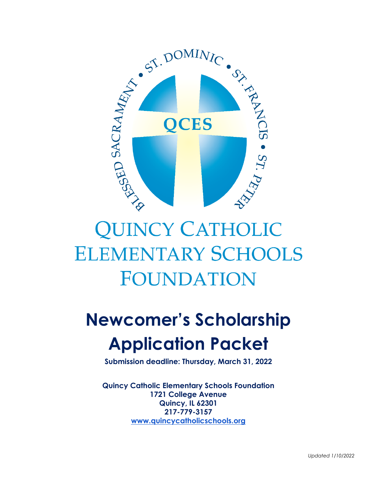

# **QUINCY CATHOLIC ELEMENTARY SCHOOLS FOUNDATION**

# **Newcomer's Scholarship Application Packet**

**Submission deadline: Thursday, March 31, 2022**

**Quincy Catholic Elementary Schools Foundation 1721 College Avenue Quincy, IL 62301 217-779-3157 [www.quincycatholicschools.org](http://www.quincycatholicschools.org/)**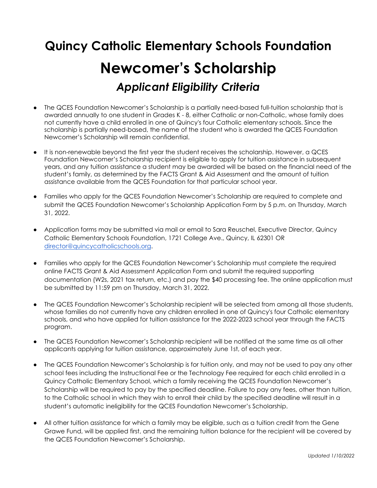### **Quincy Catholic Elementary Schools Foundation**

## **Newcomer's Scholarship** *Applicant Eligibility Criteria*

- The QCES Foundation Newcomer's Scholarship is a partially need-based full-tuition scholarship that is awarded annually to one student in Grades K - 8, either Catholic or non-Catholic, whose family does not currently have a child enrolled in one of Quincy's four Catholic elementary schools. Since the scholarship is partially need-based, the name of the student who is awarded the QCES Foundation Newcomer's Scholarship will remain confidential.
- It is non-renewable beyond the first year the student receives the scholarship. However, a QCES Foundation Newcomer's Scholarship recipient is eligible to apply for tuition assistance in subsequent years, and any tuition assistance a student may be awarded will be based on the financial need of the student's family, as determined by the FACTS Grant & Aid Assessment and the amount of tuition assistance available from the QCES Foundation for that particular school year.
- Families who apply for the QCES Foundation Newcomer's Scholarship are required to complete and submit the QCES Foundation Newcomer's Scholarship Application Form by 5 p.m. on Thursday, March 31, 2022.
- Application forms may be submitted via mail or email to Sara Reuschel, Executive Director, Quincy Catholic Elementary Schools Foundation, 1721 College Ave., Quincy, IL 62301 OR [director@quincycatholicschools.org](mailto:director@quincycatholicschools.org).
- Families who apply for the QCES Foundation Newcomer's Scholarship must complete the required online FACTS Grant & Aid Assessment Application Form and submit the required supporting documentation (W2s, 2021 tax return, etc.) and pay the \$40 processing fee. The online application must be submitted by 11:59 pm on Thursday, March 31, 2022.
- The QCES Foundation Newcomer's Scholarship recipient will be selected from among all those students, whose families do not currently have any children enrolled in one of Quincy's four Catholic elementary schools, and who have applied for tuition assistance for the 2022-2023 school year through the FACTS program.
- The QCES Foundation Newcomer's Scholarship recipient will be notified at the same time as all other applicants applying for tuition assistance, approximately June 1st, of each year.
- The QCES Foundation Newcomer's Scholarship is for tuition only, and may not be used to pay any other school fees including the Instructional Fee or the Technology Fee required for each child enrolled in a Quincy Catholic Elementary School, which a family receiving the QCES Foundation Newcomer's Scholarship will be required to pay by the specified deadline. Failure to pay any fees, other than tuition, to the Catholic school in which they wish to enroll their child by the specified deadline will result in a student's automatic ineligibility for the QCES Foundation Newcomer's Scholarship.
- All other tuition assistance for which a family may be eligible, such as a tuition credit from the Gene Grawe Fund, will be applied first, and the remaining tuition balance for the recipient will be covered by the QCES Foundation Newcomer's Scholarship.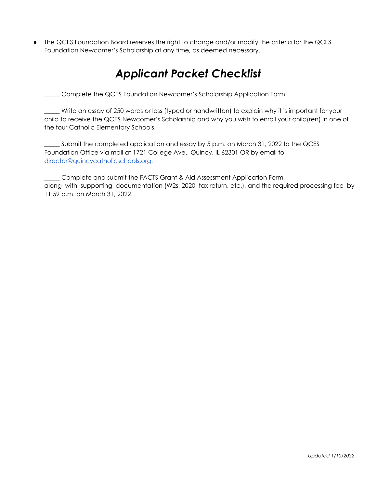The QCES Foundation Board reserves the right to change and/or modify the criteria for the QCES Foundation Newcomer's Scholarship at any time, as deemed necessary.

### *Applicant Packet Checklist*

\_\_\_\_\_ Complete the QCES Foundation Newcomer's Scholarship Application Form.

\_\_\_\_\_ Write an essay of 250 words or less (typed or handwritten) to explain why it is important for your child to receive the QCES Newcomer's Scholarship and why you wish to enroll your child(ren) in one of the four Catholic Elementary Schools.

\_\_\_\_\_ Submit the completed application and essay by 5 p.m. on March 31, 2022 to the QCES Foundation Office via mail at 1721 College Ave., Quincy, IL 62301 OR by email to [director@quincycatholicschools.org](mailto:director@quincycatholicschools.org).

\_\_\_\_\_ Complete and submit the FACTS Grant & Aid Assessment Application Form, along with supporting documentation (W2s, 2020 tax return, etc.), and the required processing fee by 11:59 p.m. on March 31, 2022.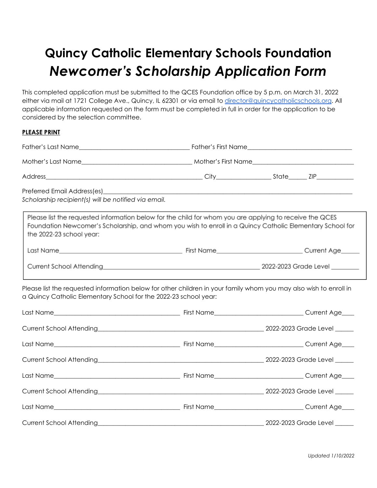## **Quincy Catholic Elementary Schools Foundation** *Newcomer's Scholarship Application Form*

This completed application must be submitted to the QCES Foundation office by 5 p.m. on March 31, 2022 either via mail at 1721 College Ave., Quincy, IL 62301 or via email to [director@quincycatholicschools.org](mailto:director@quincycatholicschools.org). All applicable information requested on the form must be completed in full in order for the application to be considered by the selection committee.

#### **PLEASE PRINT**

| Preferred Email Address(es)_<br>Scholarship recipient(s) will be notified via email.                                                                                                  | <u> 1989 - Johann John Stone, mars eta biztanleria (h. 1989).</u>                                                                                                                                                    |                                                                                                                                                                                                                                      |  |
|---------------------------------------------------------------------------------------------------------------------------------------------------------------------------------------|----------------------------------------------------------------------------------------------------------------------------------------------------------------------------------------------------------------------|--------------------------------------------------------------------------------------------------------------------------------------------------------------------------------------------------------------------------------------|--|
| the 2022-23 school year:                                                                                                                                                              | Please list the requested information below for the child for whom you are applying to receive the QCES<br>Foundation Newcomer's Scholarship, and whom you wish to enroll in a Quincy Catholic Elementary School for |                                                                                                                                                                                                                                      |  |
|                                                                                                                                                                                       |                                                                                                                                                                                                                      |                                                                                                                                                                                                                                      |  |
|                                                                                                                                                                                       |                                                                                                                                                                                                                      |                                                                                                                                                                                                                                      |  |
| Please list the requested information below for other children in your family whom you may also wish to enroll in<br>a Quincy Catholic Elementary School for the 2022-23 school year: |                                                                                                                                                                                                                      |                                                                                                                                                                                                                                      |  |
|                                                                                                                                                                                       |                                                                                                                                                                                                                      |                                                                                                                                                                                                                                      |  |
| Current School Attending 2022-2023 Grade Level 2022-2023 Grade Level 2022-2023 Grade Level 2022-2023 Grade Level                                                                      |                                                                                                                                                                                                                      |                                                                                                                                                                                                                                      |  |
|                                                                                                                                                                                       |                                                                                                                                                                                                                      |                                                                                                                                                                                                                                      |  |
|                                                                                                                                                                                       |                                                                                                                                                                                                                      | Current School Attending <b>Contract Contract Contract Contract Contract Contract Contract Contract Contract Contract Contract Contract Contract Contract Contract Contract Contract Contract Contract Contract Contract Contrac</b> |  |
|                                                                                                                                                                                       |                                                                                                                                                                                                                      |                                                                                                                                                                                                                                      |  |
|                                                                                                                                                                                       |                                                                                                                                                                                                                      | Current School Attending 2022-2023 Grade Level 2002-2023 Grade Level 2002-2023 Grade Level 2002-2023 Grade Level                                                                                                                     |  |
|                                                                                                                                                                                       |                                                                                                                                                                                                                      |                                                                                                                                                                                                                                      |  |
|                                                                                                                                                                                       |                                                                                                                                                                                                                      |                                                                                                                                                                                                                                      |  |